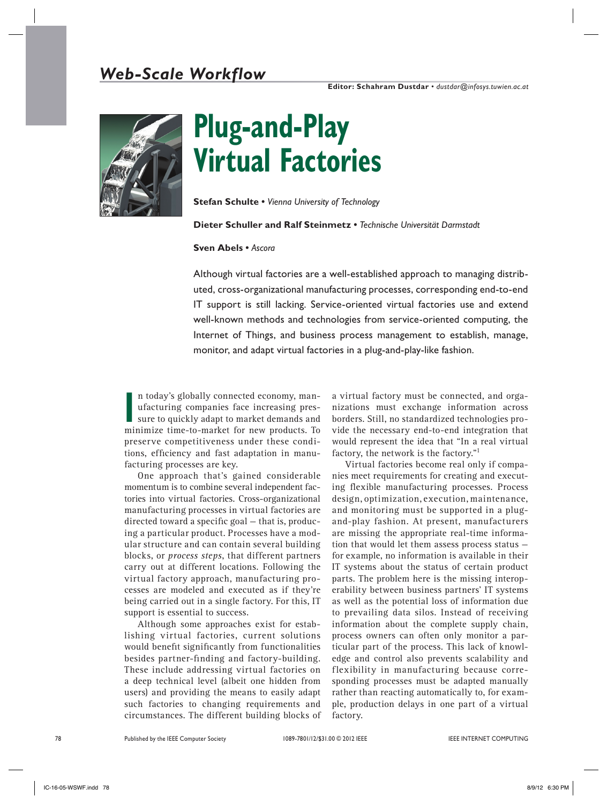

# **Plug-and-Play Virtual Factories**

**Stefan Schulte •** *Vienna University of Technology*

### **Dieter Schuller and Ralf Steinmetz •** *Technische Universität Darmstadt*

#### **Sven Abels •** *Ascora*

Although virtual factories are a well-established approach to managing distributed, cross-organizational manufacturing processes, corresponding end-to-end IT support is still lacking. Service-oriented virtual factories use and extend well-known methods and technologies from service-oriented computing, the Internet of Things, and business process management to establish, manage, monitor, and adapt virtual factories in a plug-and-play-like fashion.

In today s globally connected economy, man-<br>
ufacturing companies face increasing pres-<br>
sure to quickly adapt to market demands and<br>
minimize time-to-market for new products. To n today's globally connected economy, manufacturing companies face increasing pressure to quickly adapt to market demands and preserve competitiveness under these conditions, efficiency and fast adaptation in manufacturing processes are key.

One approach that's gained considerable momentum is to combine several independent factories into virtual factories. Cross-organizational manufacturing processes in virtual factories are directed toward a specific goal — that is, producing a particular product. Processes have a modular structure and can contain several building blocks, or *process steps*, that different partners carry out at different locations. Following the virtual factory approach, manufacturing processes are modeled and executed as if they're being carried out in a single factory. For this, IT support is essential to success.

Although some approaches exist for establishing virtual factories, current solutions would benefit significantly from functionalities besides partner-finding and factory-building. These include addressing virtual factories on a deep technical level (albeit one hidden from users) and providing the means to easily adapt such factories to changing requirements and circumstances. The different building blocks of

a virtual factory must be connected, and organizations must exchange information across borders. Still, no standardized technologies provide the necessary end-to-end integration that would represent the idea that "In a real virtual factory, the network is the factory."1

Virtual factories become real only if companies meet requirements for creating and executing flexible manufacturing processes. Process design, optimization, execution, maintenance, and monitoring must be supported in a plugand-play fashion. At present, manufacturers are missing the appropriate real-time information that would let them assess process status for example, no information is available in their IT systems about the status of certain product parts. The problem here is the missing interoperability between business partners' IT systems as well as the potential loss of information due to prevailing data silos. Instead of receiving information about the complete supply chain, process owners can often only monitor a particular part of the process. This lack of knowledge and control also prevents scalability and flexibility in manufacturing because corresponding processes must be adapted manually rather than reacting automatically to, for example, production delays in one part of a virtual factory.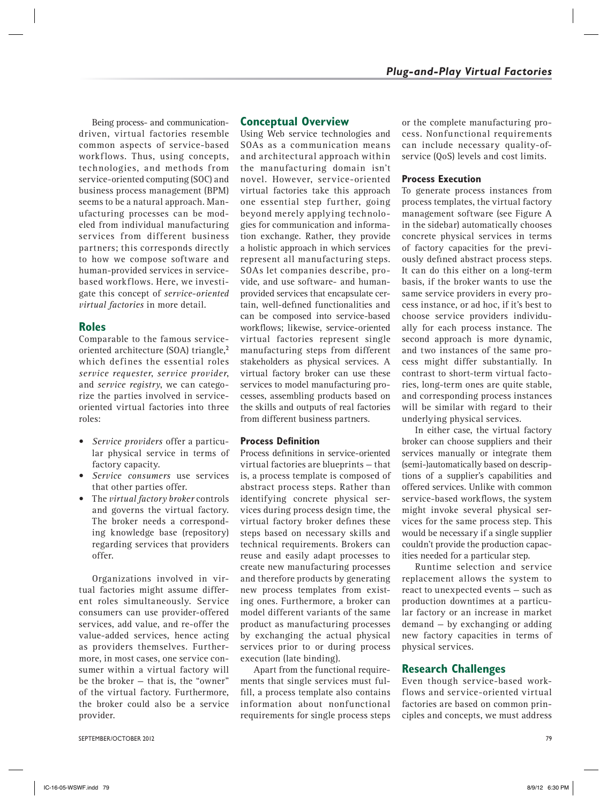Being process- and communicationdriven, virtual factories resemble common aspects of service-based workflows. Thus, using concepts, technologies, and methods from service-oriented computing (SOC) and business process management (BPM) seems to be a natural approach. Manufacturing processes can be modeled from individual manufacturing services from different business partners; this corresponds directly to how we compose software and human-provided services in servicebased workflows. Here, we investigate this concept of *service-oriented virtual factories* in more detail.

# **Roles**

Comparable to the famous serviceoriented architecture (SOA) triangle,<sup>2</sup> which defines the essential roles *service requester*, *service provider*, and *service registry*, we can categorize the parties involved in serviceoriented virtual factories into three roles:

- • *Service providers* offer a particular physical service in terms of factory capacity.
- • *Service consumers* use services that other parties offer.
- • The *virtual factory broker* controls and governs the virtual factory. The broker needs a corresponding knowledge base (repository) regarding services that providers offer.

Organizations involved in virtual factories might assume different roles simultaneously. Service consumers can use provider-offered services, add value, and re-offer the value-added services, hence acting as providers themselves. Furthermore, in most cases, one service consumer within a virtual factory will be the broker — that is, the "owner" of the virtual factory. Furthermore, the broker could also be a service provider.

# **Conceptual Overview**

Using Web service technologies and SOAs as a communication means and architectural approach within the manufacturing domain isn't novel. However, service-oriented virtual factories take this approach one essential step further, going beyond merely applying technologies for communication and information exchange. Rather, they provide a holistic approach in which services represent all manufacturing steps. SOAs let companies describe, provide, and use software- and humanprovided services that encapsulate certain, well-defined functionalities and can be composed into service-based workflows; likewise, service-oriented virtual factories represent single manufacturing steps from different stakeholders as physical services. A virtual factory broker can use these services to model manufacturing processes, assembling products based on the skills and outputs of real factories from different business partners.

## **Process Definition**

Process definitions in service-oriented virtual factories are blueprints — that is, a process template is composed of abstract process steps. Rather than identifying concrete physical services during process design time, the virtual factory broker defines these steps based on necessary skills and technical requirements. Brokers can reuse and easily adapt processes to create new manufacturing processes and therefore products by generating new process templates from existing ones. Furthermore, a broker can model different variants of the same product as manufacturing processes by exchanging the actual physical services prior to or during process execution (late binding).

Apart from the functional requirements that single services must fulfill, a process template also contains information about nonfunctional requirements for single process steps

or the complete manufacturing process. Nonfunctional requirements can include necessary quality-ofservice (QoS) levels and cost limits.

## **Process Execution**

To generate process instances from process templates, the virtual factory management software (see Figure A in the sidebar) automatically chooses concrete physical services in terms of factory capacities for the previously defined abstract process steps. It can do this either on a long-term basis, if the broker wants to use the same service providers in every process instance, or ad hoc, if it's best to choose service providers individually for each process instance. The second approach is more dynamic, and two instances of the same process might differ substantially. In contrast to short-term virtual factories, long-term ones are quite stable, and corresponding process instances will be similar with regard to their underlying physical services.

In either case, the virtual factory broker can choose suppliers and their services manually or integrate them (semi-)automatically based on descriptions of a supplier's capabilities and offered services. Unlike with common service-based workflows, the system might invoke several physical services for the same process step. This would be necessary if a single supplier couldn't provide the production capacities needed for a particular step.

Runtime selection and service replacement allows the system to react to unexpected events — such as production downtimes at a particular factory or an increase in market demand — by exchanging or adding new factory capacities in terms of physical services.

# **Research Challenges**

Even though service-based workflows and service-oriented virtual factories are based on common principles and concepts, we must address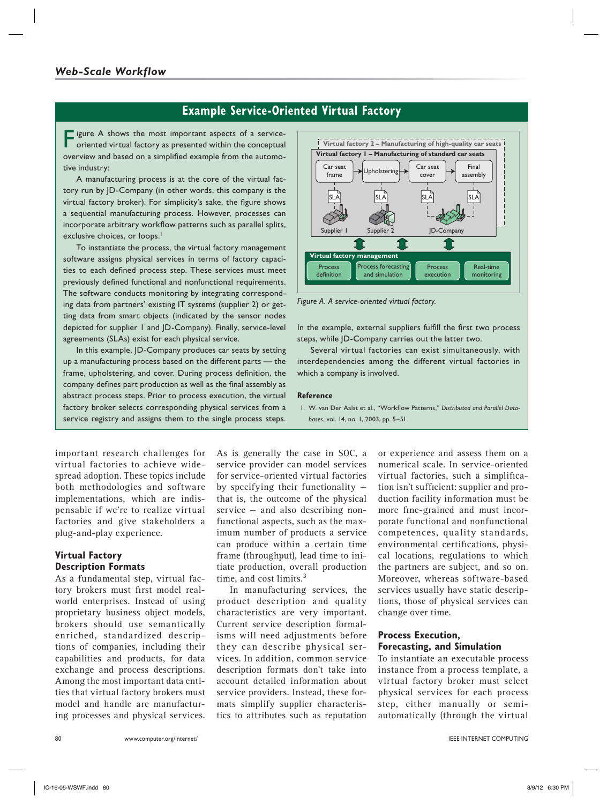# **Example Service-Oriented Virtual Factory**

Figure A shows the most important aspects of a service-oriented virtual factory as presented within the conceptual overview and based on a simplified example from the automotive industry:

A manufacturing process is at the core of the virtual factory run by JD-Company (in other words, this company is the virtual factory broker). For simplicity's sake, the figure shows a sequential manufacturing process. However, processes can incorporate arbitrary workflow patterns such as parallel splits, exclusive choices, or loops.<sup>1</sup>

To instantiate the process, the virtual factory management software assigns physical services in terms of factory capacities to each defined process step. These services must meet previously defined functional and nonfunctional requirements. The software conducts monitoring by integrating corresponding data from partners' existing IT systems (supplier 2) or getting data from smart objects (indicated by the sensor nodes depicted for supplier 1 and JD-Company). Finally, service-level agreements (SLAs) exist for each physical service.

In this example, JD-Company produces car seats by setting up a manufacturing process based on the different parts — the frame, upholstering, and cover. During process definition, the company defines part production as well as the final assembly as abstract process steps. Prior to process execution, the virtual factory broker selects corresponding physical services from a service registry and assigns them to the single process steps.



*Figure A. A service-oriented virtual factory.*

In the example, external suppliers fulfill the first two process steps, while JD-Company carries out the latter two.

Several virtual factories can exist simultaneously, with interdependencies among the different virtual factories in which a company is involved.

#### **Reference**

1. W. van Der Aalst et al., "Workflow Patterns," *Distributed and Parallel Databases*, vol. 14, no. 1, 2003, pp. 5–51.

important research challenges for virtual factories to achieve widespread adoption. These topics include both methodologies and software implementations, which are indispensable if we're to realize virtual factories and give stakeholders a plug-and-play experience.

## **Virtual Factory Description Formats**

As a fundamental step, virtual factory brokers must first model realworld enterprises. Instead of using proprietary business object models, brokers should use semantically enriched, standardized descriptions of companies, including their capabilities and products, for data exchange and process descriptions. Among the most important data entities that virtual factory brokers must model and handle are manufacturing processes and physical services. As is generally the case in SOC, a service provider can model services for service-oriented virtual factories by specifying their functionality that is, the outcome of the physical service — and also describing nonfunctional aspects, such as the maximum number of products a service can produce within a certain time frame (throughput), lead time to initiate production, overall production time, and cost limits.<sup>3</sup>

In manufacturing services, the product description and quality characteristics are very important. Current service description formalisms will need adjustments before they can describe physical services. In addition, common service description formats don't take into account detailed information about service providers. Instead, these formats simplify supplier characteristics to attributes such as reputation

or experience and assess them on a numerical scale. In service-oriented virtual factories, such a simplification isn't sufficient: supplier and production facility information must be more fine-grained and must incorporate functional and nonfunctional competences, quality standards, environmental certifications, physical locations, regulations to which the partners are subject, and so on. Moreover, whereas software-based services usually have static descriptions, those of physical services can change over time.

## **Process Execution, Forecasting, and Simulation**

To instantiate an executable process instance from a process template, a virtual factory broker must select physical services for each process step, either manually or semiautomatically (through the virtual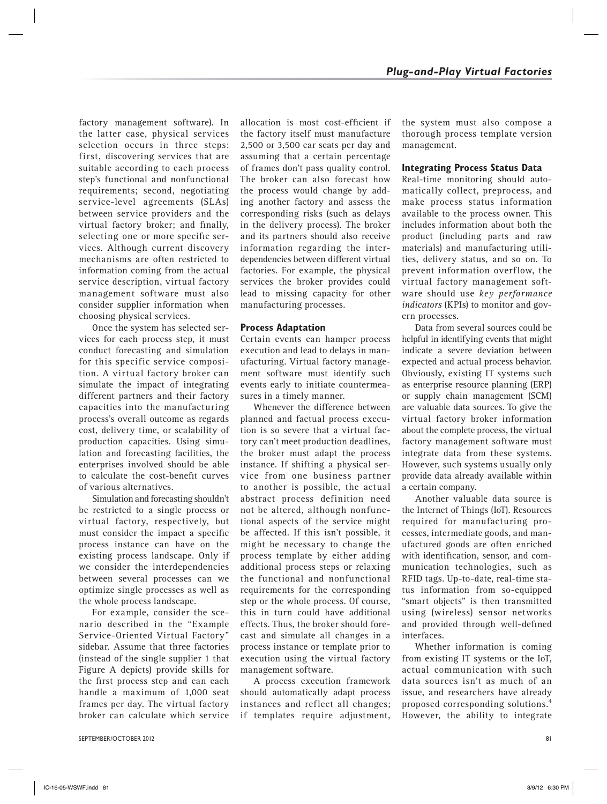factory management software). In the latter case, physical services selection occurs in three steps: first, discovering services that are suitable according to each process step's functional and nonfunctional requirements; second, negotiating service-level agreements (SLAs) between service providers and the virtual factory broker; and finally, selecting one or more specific services. Although current discovery mechanisms are often restricted to information coming from the actual service description, virtual factory management software must also consider supplier information when choosing physical services.

Once the system has selected services for each process step, it must conduct forecasting and simulation for this specific service composition. A virtual factory broker can simulate the impact of integrating different partners and their factory capacities into the manufacturing process's overall outcome as regards cost, delivery time, or scalability of production capacities. Using simulation and forecasting facilities, the enterprises involved should be able to calculate the cost-benefit curves of various alternatives.

Simulation and forecasting shouldn't be restricted to a single process or virtual factory, respectively, but must consider the impact a specific process instance can have on the existing process landscape. Only if we consider the interdependencies between several processes can we optimize single processes as well as the whole process landscape.

For example, consider the scenario described in the "Example Service-Oriented Virtual Factory" sidebar. Assume that three factories (instead of the single supplier 1 that Figure A depicts) provide skills for the first process step and can each handle a maximum of 1,000 seat frames per day. The virtual factory broker can calculate which service allocation is most cost-efficient if the factory itself must manufacture 2,500 or 3,500 car seats per day and assuming that a certain percentage of frames don't pass quality control. The broker can also forecast how the process would change by adding another factory and assess the corresponding risks (such as delays in the delivery process). The broker and its partners should also receive information regarding the interdependencies between different virtual factories. For example, the physical services the broker provides could lead to missing capacity for other manufacturing processes.

## **Process Adaptation**

Certain events can hamper process execution and lead to delays in manufacturing. Virtual factory management software must identify such events early to initiate countermeasures in a timely manner.

Whenever the difference between planned and factual process execution is so severe that a virtual factory can't meet production deadlines, the broker must adapt the process instance. If shifting a physical service from one business partner to another is possible, the actual abstract process definition need not be altered, although nonfunctional aspects of the service might be affected. If this isn't possible, it might be necessary to change the process template by either adding additional process steps or relaxing the functional and nonfunctional requirements for the corresponding step or the whole process. Of course, this in turn could have additional effects. Thus, the broker should forecast and simulate all changes in a process instance or template prior to execution using the virtual factory management software.

A process execution framework should automatically adapt process instances and reflect all changes; if templates require adjustment,

the system must also compose a thorough process template version management.

## **Integrating Process Status Data**

Real-time monitoring should automatically collect, preprocess, and make process status information available to the process owner. This includes information about both the product (including parts and raw materials) and manufacturing utilities, delivery status, and so on. To prevent information overflow, the virtual factory management software should use *key performance indicators* (KPIs) to monitor and govern processes.

Data from several sources could be helpful in identifying events that might indicate a severe deviation between expected and actual process behavior. Obviously, existing IT systems such as enterprise resource planning (ERP) or supply chain management (SCM) are valuable data sources. To give the virtual factory broker information about the complete process, the virtual factory management software must integrate data from these systems. However, such systems usually only provide data already available within a certain company.

Another valuable data source is the Internet of Things (IoT). Resources required for manufacturing processes, intermediate goods, and manufactured goods are often enriched with identification, sensor, and communication technologies, such as RFID tags. Up-to-date, real-time status information from so-equipped "smart objects" is then transmitted using (wireless) sensor networks and provided through well-defined interfaces.

Whether information is coming from existing IT systems or the IoT, actual communication with such data sources isn't as much of an issue, and researchers have already proposed corresponding solutions.<sup>4</sup> However, the ability to integrate